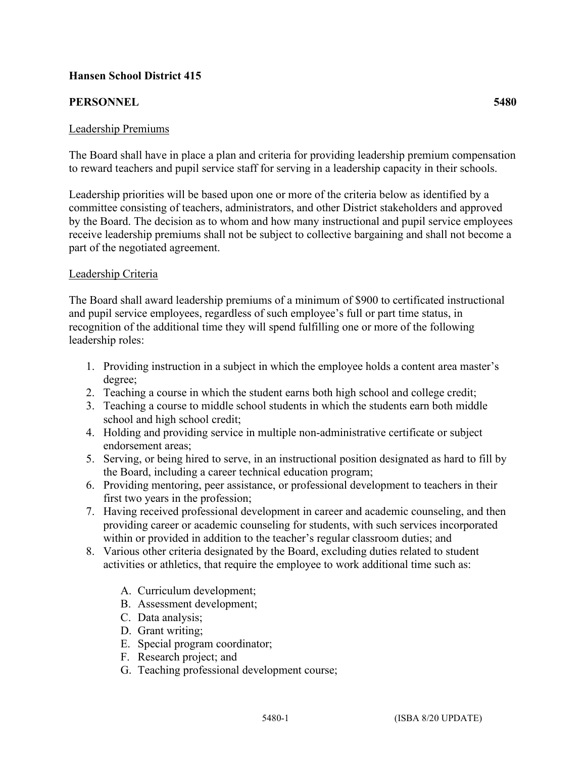# **Hansen School District 415**

# **PERSONNEL 5480**

## Leadership Premiums

The Board shall have in place a plan and criteria for providing leadership premium compensation to reward teachers and pupil service staff for serving in a leadership capacity in their schools.

Leadership priorities will be based upon one or more of the criteria below as identified by a committee consisting of teachers, administrators, and other District stakeholders and approved by the Board. The decision as to whom and how many instructional and pupil service employees receive leadership premiums shall not be subject to collective bargaining and shall not become a part of the negotiated agreement.

### Leadership Criteria

The Board shall award leadership premiums of a minimum of \$900 to certificated instructional and pupil service employees, regardless of such employee's full or part time status, in recognition of the additional time they will spend fulfilling one or more of the following leadership roles:

- 1. Providing instruction in a subject in which the employee holds a content area master's degree;
- 2. Teaching a course in which the student earns both high school and college credit;
- 3. Teaching a course to middle school students in which the students earn both middle school and high school credit;
- 4. Holding and providing service in multiple non-administrative certificate or subject endorsement areas;
- 5. Serving, or being hired to serve, in an instructional position designated as hard to fill by the Board, including a career technical education program;
- 6. Providing mentoring, peer assistance, or professional development to teachers in their first two years in the profession;
- 7. Having received professional development in career and academic counseling, and then providing career or academic counseling for students, with such services incorporated within or provided in addition to the teacher's regular classroom duties; and
- 8. Various other criteria designated by the Board, excluding duties related to student activities or athletics, that require the employee to work additional time such as:
	- A. Curriculum development;
	- B. Assessment development;
	- C. Data analysis;
	- D. Grant writing;
	- E. Special program coordinator;
	- F. Research project; and
	- G. Teaching professional development course;